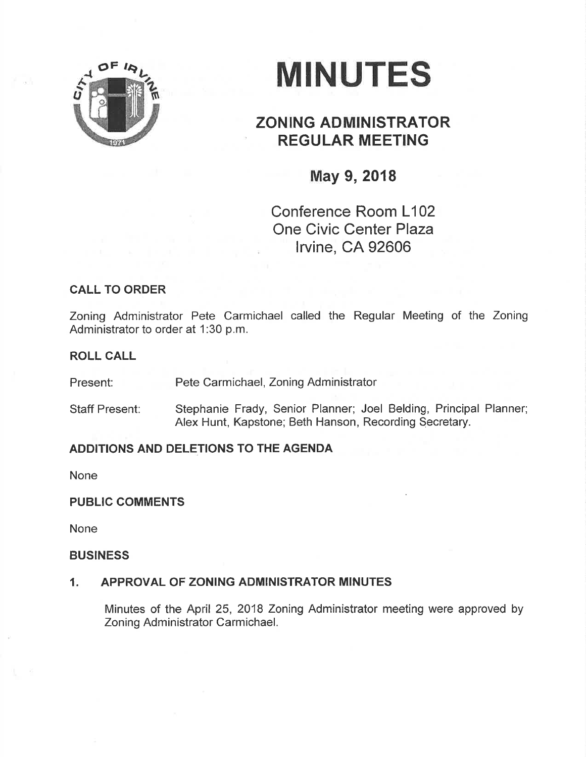

# **MINUTES**

## ZONING ADMINISTRATOR REGULAR MEETING

## May 9, 2018

Conference Room L102 One Civic Center Plaza lrvine, CA 92606

### CALL TO ORDER

Zoning Administrator Pete Carmichael called the Regular Meeting of the Zoning Administrator to order at 1:30 p.m.

#### ROLL CALL

Present: Pete Carmichael, Zoning Administrator

Staff Present: Stephanie Frady, Senior Planner; Joel Belding, Principal Planner; Alex Hunt, Kapstone; Beth Hanson, Recording Secretary.

#### ADDITIONS AND DELETIONS TO THE AGENDA

None

#### PUBLIC COMMENTS

None

#### BUSINESS

#### 1. APPROVAL OF ZONING ADMINISTRATOR MINUTES

Minutes of the April 25, 2018 Zoning Administrator meeting were approved by Zoning Administrator Carmichael.